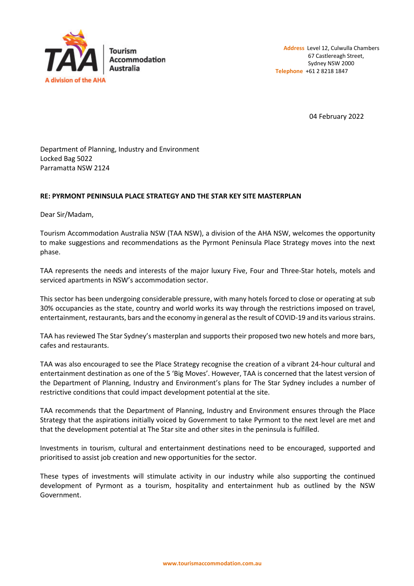

04 February 2022

Department of Planning, Industry and Environment Locked Bag 5022 Parramatta NSW 2124

## **RE: PYRMONT PENINSULA PLACE STRATEGY AND THE STAR KEY SITE MASTERPLAN**

Dear Sir/Madam,

Tourism Accommodation Australia NSW (TAA NSW), a division of the AHA NSW, welcomes the opportunity to make suggestions and recommendations as the Pyrmont Peninsula Place Strategy moves into the next phase.

TAA represents the needs and interests of the major luxury Five, Four and Three-Star hotels, motels and serviced apartments in NSW's accommodation sector.

This sector has been undergoing considerable pressure, with many hotels forced to close or operating at sub 30% occupancies as the state, country and world works its way through the restrictions imposed on travel, entertainment, restaurants, bars and the economy in general as the result of COVID-19 and its various strains.

TAA has reviewed The Star Sydney's masterplan and supports their proposed two new hotels and more bars, cafes and restaurants.

TAA was also encouraged to see the Place Strategy recognise the creation of a vibrant 24-hour cultural and entertainment destination as one of the 5 'Big Moves'. However, TAA is concerned that the latest version of the Department of Planning, Industry and Environment's plans for The Star Sydney includes a number of restrictive conditions that could impact development potential at the site.

TAA recommends that the Department of Planning, Industry and Environment ensures through the Place Strategy that the aspirations initially voiced by Government to take Pyrmont to the next level are met and that the development potential at The Star site and other sites in the peninsula is fulfilled.

Investments in tourism, cultural and entertainment destinations need to be encouraged, supported and prioritised to assist job creation and new opportunities for the sector.

These types of investments will stimulate activity in our industry while also supporting the continued development of Pyrmont as a tourism, hospitality and entertainment hub as outlined by the NSW Government.